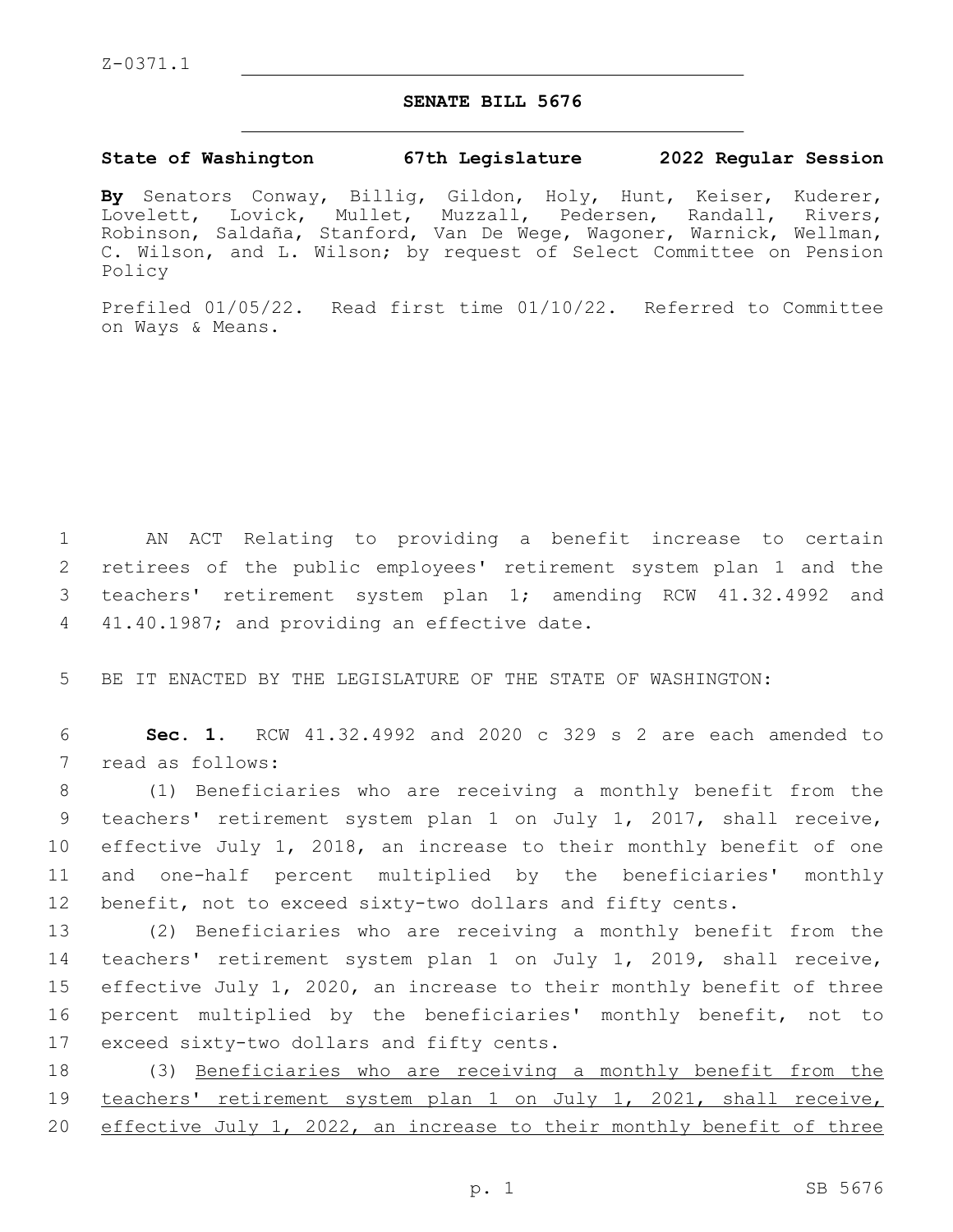## **SENATE BILL 5676**

## **State of Washington 67th Legislature 2022 Regular Session**

**By** Senators Conway, Billig, Gildon, Holy, Hunt, Keiser, Kuderer, Lovelett, Lovick, Mullet, Muzzall, Pedersen, Randall, Rivers, Robinson, Saldaña, Stanford, Van De Wege, Wagoner, Warnick, Wellman, C. Wilson, and L. Wilson; by request of Select Committee on Pension Policy

Prefiled 01/05/22. Read first time 01/10/22. Referred to Committee on Ways & Means.

 AN ACT Relating to providing a benefit increase to certain retirees of the public employees' retirement system plan 1 and the teachers' retirement system plan 1; amending RCW 41.32.4992 and 4 41.40.1987; and providing an effective date.

5 BE IT ENACTED BY THE LEGISLATURE OF THE STATE OF WASHINGTON:

6 **Sec. 1.** RCW 41.32.4992 and 2020 c 329 s 2 are each amended to 7 read as follows:

 (1) Beneficiaries who are receiving a monthly benefit from the teachers' retirement system plan 1 on July 1, 2017, shall receive, effective July 1, 2018, an increase to their monthly benefit of one and one-half percent multiplied by the beneficiaries' monthly benefit, not to exceed sixty-two dollars and fifty cents.

 (2) Beneficiaries who are receiving a monthly benefit from the teachers' retirement system plan 1 on July 1, 2019, shall receive, effective July 1, 2020, an increase to their monthly benefit of three percent multiplied by the beneficiaries' monthly benefit, not to 17 exceed sixty-two dollars and fifty cents.

18 (3) Beneficiaries who are receiving a monthly benefit from the 19 teachers' retirement system plan 1 on July 1, 2021, shall receive, 20 effective July 1, 2022, an increase to their monthly benefit of three